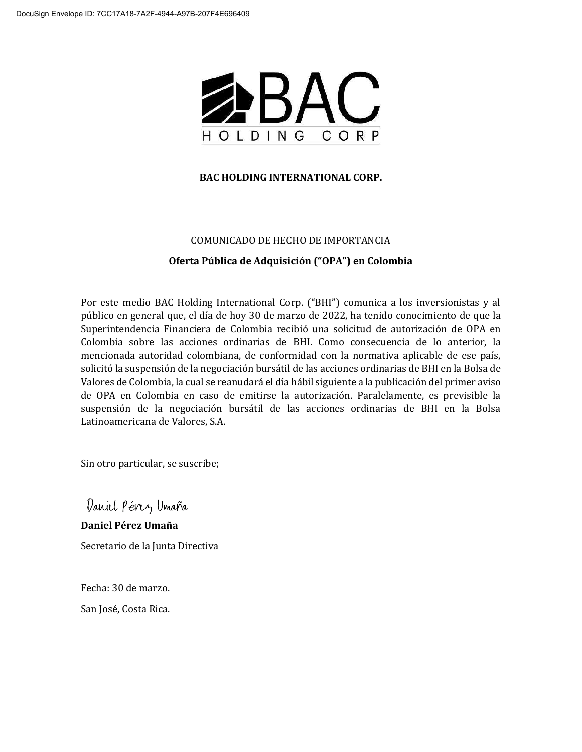

#### **BAC HOLDING INTERNATIONAL CORP.**

#### COMUNICADO DE HECHO DE IMPORTANCIA

#### **Oferta Pública de Adquisición ("OPA") en Colombia**

Por este medio BAC Holding International Corp. ("BHI") comunica a los inversionistas y al público en general que, el día de hoy 30 de marzo de 2022, ha tenido conocimiento de que la Superintendencia Financiera de Colombia recibió una solicitud de autorización de OPA en Colombia sobre las acciones ordinarias de BHI. Como consecuencia de lo anterior, la mencionada autoridad colombiana, de conformidad con la normativa aplicable de ese país, solicitó la suspensión de la negociación bursátil de las acciones ordinarias de BHI en la Bolsa de Valores de Colombia, la cual se reanudará el día hábil siguiente a la publicación del primer aviso de OPA en Colombia en caso de emitirse la autorización. Paralelamente, es previsible la suspensión de la negociación bursátil de las acciones ordinarias de BHI en la Bolsa Latinoamericana de Valores, S.A.

Sin otro particular, se suscribe;

Daniel Pérez Umaña

**Daniel Pérez Umaña** Secretario de la Junta Directiva

Fecha: 30 de marzo. San José, Costa Rica.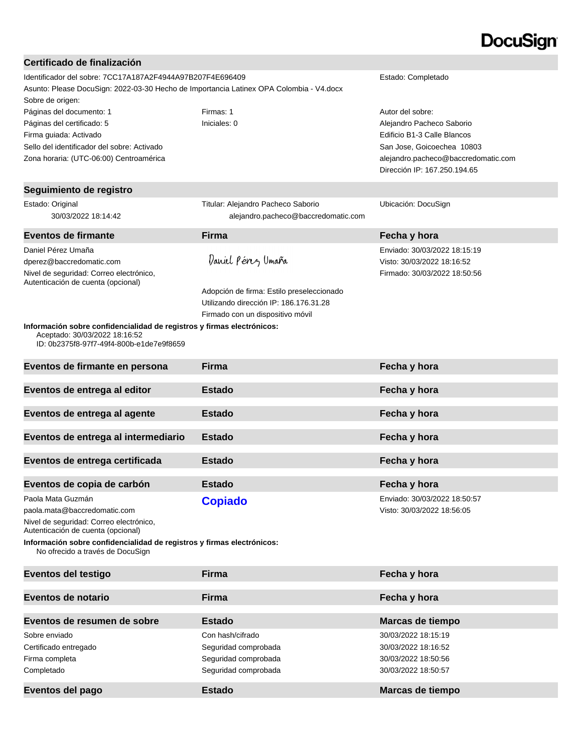# **DocuSign®**

| Certificado de finalización                                                                                |                                           |                                     |
|------------------------------------------------------------------------------------------------------------|-------------------------------------------|-------------------------------------|
| Identificador del sobre: 7CC17A187A2F4944A97B207F4E696409<br>Estado: Completado                            |                                           |                                     |
| Asunto: Please DocuSign: 2022-03-30 Hecho de Importancia Latinex OPA Colombia - V4.docx                    |                                           |                                     |
| Sobre de origen:                                                                                           |                                           |                                     |
| Páginas del documento: 1                                                                                   | Firmas: 1                                 | Autor del sobre:                    |
| Páginas del certificado: 5                                                                                 | Iniciales: 0                              | Alejandro Pacheco Saborio           |
| Firma guiada: Activado                                                                                     |                                           | Edificio B1-3 Calle Blancos         |
| Sello del identificador del sobre: Activado                                                                |                                           | San Jose, Goicoechea 10803          |
| Zona horaria: (UTC-06:00) Centroamérica                                                                    |                                           | alejandro.pacheco@baccredomatic.com |
|                                                                                                            |                                           | Dirección IP: 167.250.194.65        |
| Seguimiento de registro                                                                                    |                                           |                                     |
| Estado: Original                                                                                           | Titular: Alejandro Pacheco Saborio        | Ubicación: DocuSign                 |
| 30/03/2022 18:14:42                                                                                        | alejandro.pacheco@baccredomatic.com       |                                     |
| Eventos de firmante                                                                                        | Firma                                     | Fecha y hora                        |
| Daniel Pérez Umaña                                                                                         |                                           | Enviado: 30/03/2022 18:15:19        |
| dperez@baccredomatic.com                                                                                   | Daniel Pénz Umaña                         | Visto: 30/03/2022 18:16:52          |
| Nivel de seguridad: Correo electrónico,                                                                    |                                           | Firmado: 30/03/2022 18:50:56        |
| Autenticación de cuenta (opcional)                                                                         |                                           |                                     |
|                                                                                                            | Adopción de firma: Estilo preseleccionado |                                     |
|                                                                                                            | Utilizando dirección IP: 186.176.31.28    |                                     |
|                                                                                                            | Firmado con un dispositivo móvil          |                                     |
| Información sobre confidencialidad de registros y firmas electrónicos:<br>Aceptado: 30/03/2022 18:16:52    |                                           |                                     |
| ID: 0b2375f8-97f7-49f4-800b-e1de7e9f8659                                                                   |                                           |                                     |
| Eventos de firmante en persona                                                                             | <b>Firma</b>                              | Fecha y hora                        |
| Eventos de entrega al editor                                                                               | <b>Estado</b>                             | Fecha y hora                        |
| Eventos de entrega al agente                                                                               | <b>Estado</b>                             | Fecha y hora                        |
| Eventos de entrega al intermediario                                                                        | <b>Estado</b>                             | Fecha y hora                        |
|                                                                                                            |                                           |                                     |
| Eventos de entrega certificada                                                                             | <b>Estado</b>                             | Fecha y hora                        |
| Eventos de copia de carbón                                                                                 | <b>Estado</b>                             | Fecha y hora                        |
| Paola Mata Guzmán                                                                                          | <b>Copiado</b>                            | Enviado: 30/03/2022 18:50:57        |
| paola.mata@baccredomatic.com                                                                               |                                           | Visto: 30/03/2022 18:56:05          |
| Nivel de seguridad: Correo electrónico,<br>Autenticación de cuenta (opcional)                              |                                           |                                     |
| Información sobre confidencialidad de registros y firmas electrónicos:<br>No ofrecido a través de DocuSign |                                           |                                     |
| <b>Eventos del testigo</b>                                                                                 | <b>Firma</b>                              | Fecha y hora                        |
| Eventos de notario                                                                                         | <b>Firma</b>                              | Fecha y hora                        |
| Eventos de resumen de sobre                                                                                | <b>Estado</b>                             | Marcas de tiempo                    |
| Sobre enviado                                                                                              | Con hash/cifrado                          | 30/03/2022 18:15:19                 |
| Certificado entregado                                                                                      | Seguridad comprobada                      | 30/03/2022 18:16:52                 |
| Firma completa                                                                                             | Seguridad comprobada                      | 30/03/2022 18:50:56                 |
| Completado                                                                                                 | Seguridad comprobada                      | 30/03/2022 18:50:57                 |
|                                                                                                            |                                           |                                     |
| Eventos del pago                                                                                           | <b>Estado</b>                             | Marcas de tiempo                    |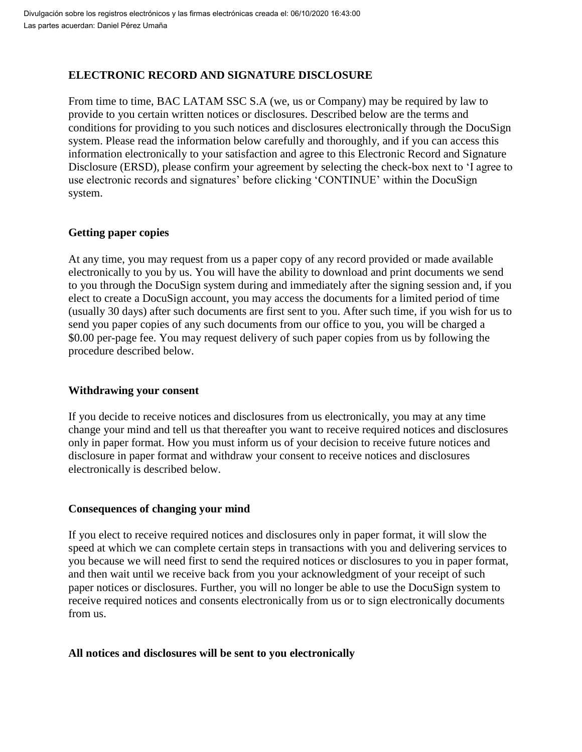# **ELECTRONIC RECORD AND SIGNATURE DISCLOSURE**

From time to time, BAC LATAM SSC S.A (we, us or Company) may be required by law to provide to you certain written notices or disclosures. Described below are the terms and conditions for providing to you such notices and disclosures electronically through the DocuSign system. Please read the information below carefully and thoroughly, and if you can access this information electronically to your satisfaction and agree to this Electronic Record and Signature Disclosure (ERSD), please confirm your agreement by selecting the check-box next to 'I agree to use electronic records and signatures' before clicking 'CONTINUE' within the DocuSign system.

# **Getting paper copies**

At any time, you may request from us a paper copy of any record provided or made available electronically to you by us. You will have the ability to download and print documents we send to you through the DocuSign system during and immediately after the signing session and, if you elect to create a DocuSign account, you may access the documents for a limited period of time (usually 30 days) after such documents are first sent to you. After such time, if you wish for us to send you paper copies of any such documents from our office to you, you will be charged a \$0.00 per-page fee. You may request delivery of such paper copies from us by following the procedure described below.

#### **Withdrawing your consent**

If you decide to receive notices and disclosures from us electronically, you may at any time change your mind and tell us that thereafter you want to receive required notices and disclosures only in paper format. How you must inform us of your decision to receive future notices and disclosure in paper format and withdraw your consent to receive notices and disclosures electronically is described below.

# **Consequences of changing your mind**

If you elect to receive required notices and disclosures only in paper format, it will slow the speed at which we can complete certain steps in transactions with you and delivering services to you because we will need first to send the required notices or disclosures to you in paper format, and then wait until we receive back from you your acknowledgment of your receipt of such paper notices or disclosures. Further, you will no longer be able to use the DocuSign system to receive required notices and consents electronically from us or to sign electronically documents from us.

# **All notices and disclosures will be sent to you electronically**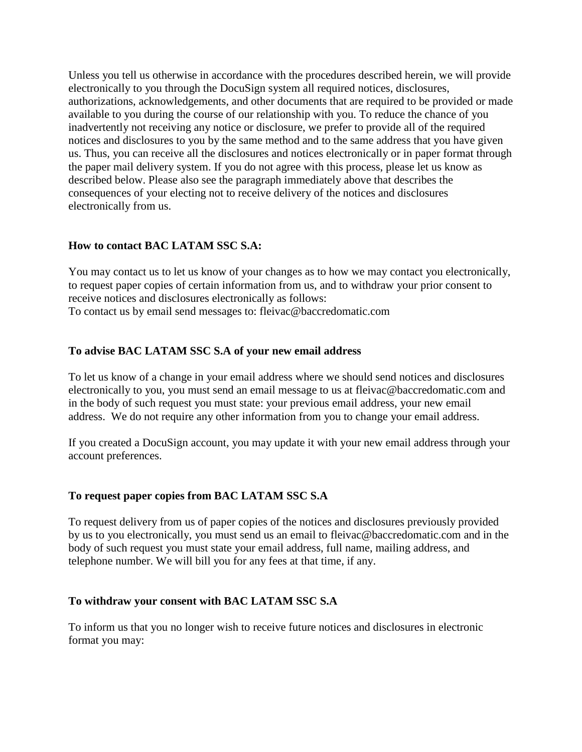Unless you tell us otherwise in accordance with the procedures described herein, we will provide electronically to you through the DocuSign system all required notices, disclosures, authorizations, acknowledgements, and other documents that are required to be provided or made available to you during the course of our relationship with you. To reduce the chance of you inadvertently not receiving any notice or disclosure, we prefer to provide all of the required notices and disclosures to you by the same method and to the same address that you have given us. Thus, you can receive all the disclosures and notices electronically or in paper format through the paper mail delivery system. If you do not agree with this process, please let us know as described below. Please also see the paragraph immediately above that describes the consequences of your electing not to receive delivery of the notices and disclosures electronically from us.

# **How to contact BAC LATAM SSC S.A:**

You may contact us to let us know of your changes as to how we may contact you electronically, to request paper copies of certain information from us, and to withdraw your prior consent to receive notices and disclosures electronically as follows: To contact us by email send messages to: fleivac@baccredomatic.com

# **To advise BAC LATAM SSC S.A of your new email address**

To let us know of a change in your email address where we should send notices and disclosures electronically to you, you must send an email message to us at fleivac@baccredomatic.com and in the body of such request you must state: your previous email address, your new email address. We do not require any other information from you to change your email address.

If you created a DocuSign account, you may update it with your new email address through your account preferences.

# **To request paper copies from BAC LATAM SSC S.A**

To request delivery from us of paper copies of the notices and disclosures previously provided by us to you electronically, you must send us an email to fleivac@baccredomatic.com and in the body of such request you must state your email address, full name, mailing address, and telephone number. We will bill you for any fees at that time, if any.

#### **To withdraw your consent with BAC LATAM SSC S.A**

To inform us that you no longer wish to receive future notices and disclosures in electronic format you may: